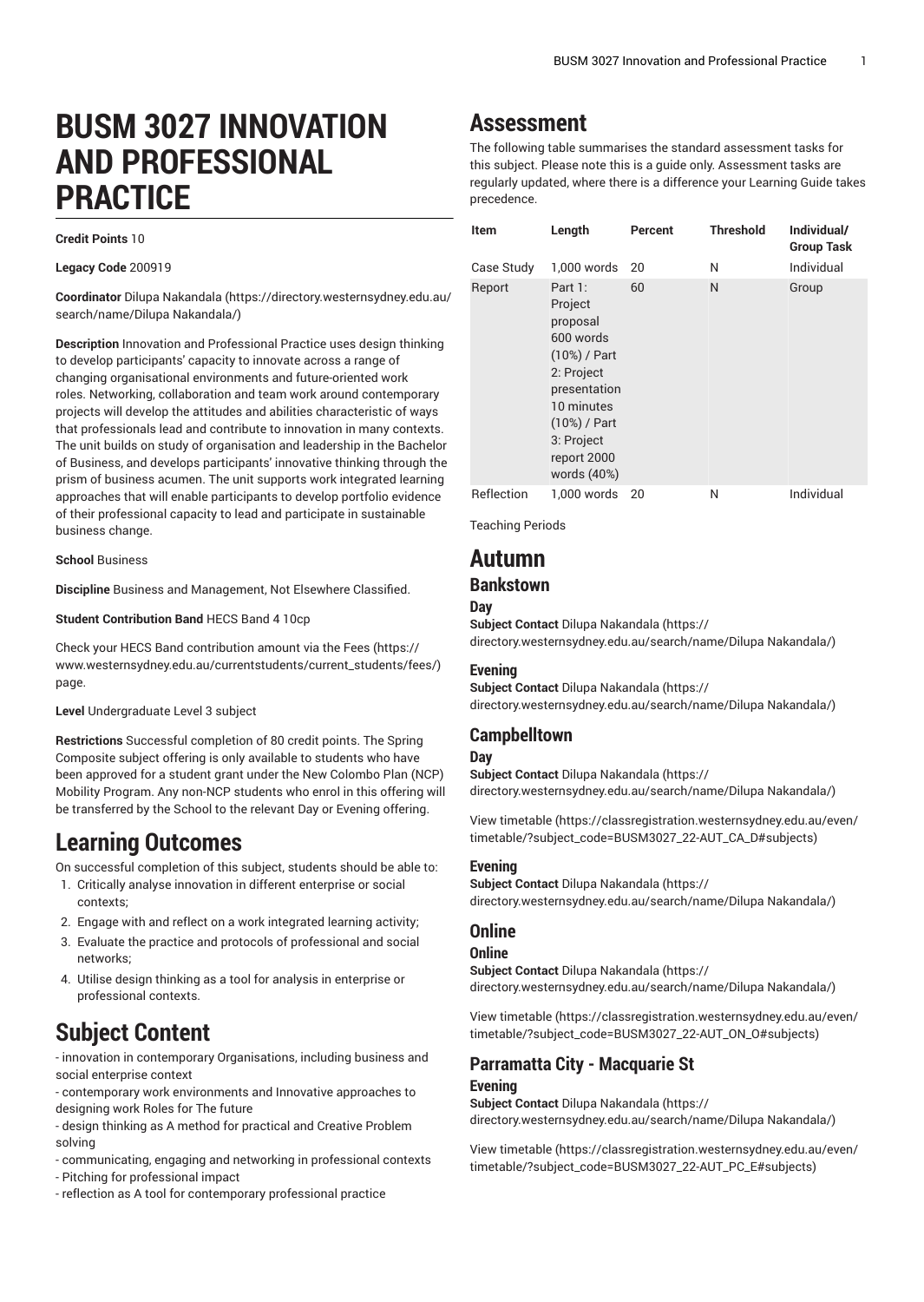# **BUSM 3027 INNOVATION AND PROFESSIONAL PRACTICE**

### **Credit Points** 10

**Legacy Code** 200919

**Coordinator** [Dilupa Nakandala \(https://directory.westernsydney.edu.au/](https://directory.westernsydney.edu.au/search/name/Dilupa Nakandala/) [search/name/Dilupa](https://directory.westernsydney.edu.au/search/name/Dilupa Nakandala/) Nakandala/)

**Description** Innovation and Professional Practice uses design thinking to develop participants' capacity to innovate across a range of changing organisational environments and future-oriented work roles. Networking, collaboration and team work around contemporary projects will develop the attitudes and abilities characteristic of ways that professionals lead and contribute to innovation in many contexts. The unit builds on study of organisation and leadership in the Bachelor of Business, and develops participants' innovative thinking through the prism of business acumen. The unit supports work integrated learning approaches that will enable participants to develop portfolio evidence of their professional capacity to lead and participate in sustainable business change.

**School** Business

**Discipline** Business and Management, Not Elsewhere Classified.

**Student Contribution Band** HECS Band 4 10cp

Check your HECS Band contribution amount via the [Fees \(https://](https://www.westernsydney.edu.au/currentstudents/current_students/fees/) [www.westernsydney.edu.au/currentstudents/current\\_students/fees/\)](https://www.westernsydney.edu.au/currentstudents/current_students/fees/) page.

**Level** Undergraduate Level 3 subject

**Restrictions** Successful completion of 80 credit points. The Spring Composite subject offering is only available to students who have been approved for a student grant under the New Colombo Plan (NCP) Mobility Program. Any non-NCP students who enrol in this offering will be transferred by the School to the relevant Day or Evening offering.

## **Learning Outcomes**

On successful completion of this subject, students should be able to:

- 1. Critically analyse innovation in different enterprise or social contexts;
- 2. Engage with and reflect on a work integrated learning activity;
- 3. Evaluate the practice and protocols of professional and social networks;
- 4. Utilise design thinking as a tool for analysis in enterprise or professional contexts.

# **Subject Content**

- innovation in contemporary Organisations, including business and social enterprise context

- contemporary work environments and Innovative approaches to designing work Roles for The future

- design thinking as A method for practical and Creative Problem solving

- communicating, engaging and networking in professional contexts
- Pitching for professional impact
- reflection as A tool for contemporary professional practice

# **Assessment**

The following table summarises the standard assessment tasks for this subject. Please note this is a guide only. Assessment tasks are regularly updated, where there is a difference your Learning Guide takes precedence.

| Item       | Length                                                                                                                                                              | Percent | <b>Threshold</b> | Individual/<br><b>Group Task</b> |
|------------|---------------------------------------------------------------------------------------------------------------------------------------------------------------------|---------|------------------|----------------------------------|
| Case Study | 1.000 words                                                                                                                                                         | 20      | N                | Individual                       |
| Report     | Part 1:<br>Project<br>proposal<br>600 words<br>(10%) / Part<br>2: Project<br>presentation<br>10 minutes<br>(10%) / Part<br>3: Project<br>report 2000<br>words (40%) | 60      | N                | Group                            |
| Reflection | 1,000 words                                                                                                                                                         | 20      | Ν                | Individual                       |

Teaching Periods

## **Autumn**

### **Bankstown**

**Day**

**Subject Contact** [Dilupa Nakandala](https://directory.westernsydney.edu.au/search/name/Dilupa Nakandala/) ([https://](https://directory.westernsydney.edu.au/search/name/Dilupa Nakandala/) [directory.westernsydney.edu.au/search/name/Dilupa](https://directory.westernsydney.edu.au/search/name/Dilupa Nakandala/) Nakandala/)

### **Evening**

**Subject Contact** [Dilupa Nakandala](https://directory.westernsydney.edu.au/search/name/Dilupa Nakandala/) ([https://](https://directory.westernsydney.edu.au/search/name/Dilupa Nakandala/) [directory.westernsydney.edu.au/search/name/Dilupa](https://directory.westernsydney.edu.au/search/name/Dilupa Nakandala/) Nakandala/)

## **Campbelltown**

### **Day**

**Subject Contact** [Dilupa Nakandala](https://directory.westernsydney.edu.au/search/name/Dilupa Nakandala/) ([https://](https://directory.westernsydney.edu.au/search/name/Dilupa Nakandala/) [directory.westernsydney.edu.au/search/name/Dilupa](https://directory.westernsydney.edu.au/search/name/Dilupa Nakandala/) Nakandala/)

[View timetable](https://classregistration.westernsydney.edu.au/even/timetable/?subject_code=BUSM3027_22-AUT_CA_D#subjects) [\(https://classregistration.westernsydney.edu.au/even/](https://classregistration.westernsydney.edu.au/even/timetable/?subject_code=BUSM3027_22-AUT_CA_D#subjects) [timetable/?subject\\_code=BUSM3027\\_22-AUT\\_CA\\_D#subjects\)](https://classregistration.westernsydney.edu.au/even/timetable/?subject_code=BUSM3027_22-AUT_CA_D#subjects)

### **Evening**

**Subject Contact** [Dilupa Nakandala](https://directory.westernsydney.edu.au/search/name/Dilupa Nakandala/) ([https://](https://directory.westernsydney.edu.au/search/name/Dilupa Nakandala/) [directory.westernsydney.edu.au/search/name/Dilupa](https://directory.westernsydney.edu.au/search/name/Dilupa Nakandala/) Nakandala/)

### **Online**

### **Online**

**Subject Contact** [Dilupa Nakandala](https://directory.westernsydney.edu.au/search/name/Dilupa Nakandala/) ([https://](https://directory.westernsydney.edu.au/search/name/Dilupa Nakandala/) [directory.westernsydney.edu.au/search/name/Dilupa](https://directory.westernsydney.edu.au/search/name/Dilupa Nakandala/) Nakandala/)

[View timetable](https://classregistration.westernsydney.edu.au/even/timetable/?subject_code=BUSM3027_22-AUT_ON_O#subjects) [\(https://classregistration.westernsydney.edu.au/even/](https://classregistration.westernsydney.edu.au/even/timetable/?subject_code=BUSM3027_22-AUT_ON_O#subjects) [timetable/?subject\\_code=BUSM3027\\_22-AUT\\_ON\\_O#subjects\)](https://classregistration.westernsydney.edu.au/even/timetable/?subject_code=BUSM3027_22-AUT_ON_O#subjects)

### **Parramatta City - Macquarie St Evening**

**Subject Contact** [Dilupa Nakandala](https://directory.westernsydney.edu.au/search/name/Dilupa Nakandala/) ([https://](https://directory.westernsydney.edu.au/search/name/Dilupa Nakandala/) [directory.westernsydney.edu.au/search/name/Dilupa](https://directory.westernsydney.edu.au/search/name/Dilupa Nakandala/) Nakandala/)

[View timetable](https://classregistration.westernsydney.edu.au/even/timetable/?subject_code=BUSM3027_22-AUT_PC_E#subjects) [\(https://classregistration.westernsydney.edu.au/even/](https://classregistration.westernsydney.edu.au/even/timetable/?subject_code=BUSM3027_22-AUT_PC_E#subjects) [timetable/?subject\\_code=BUSM3027\\_22-AUT\\_PC\\_E#subjects\)](https://classregistration.westernsydney.edu.au/even/timetable/?subject_code=BUSM3027_22-AUT_PC_E#subjects)